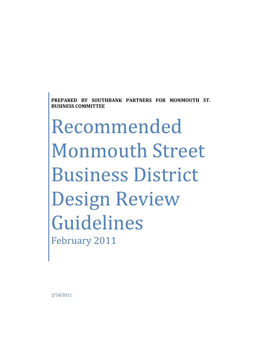**PREPARED BY SOUTHBANK PARTNERS FOR MONMOUTH ST. BUSINESS COMMITTEE**

Recommended Monmouth Street Business District Design Review Guidelines February 2011

2/14/2011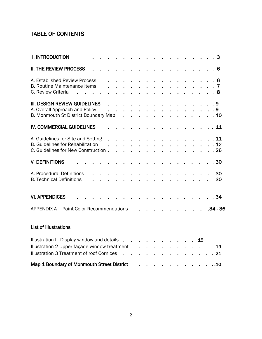# TABLE OF CONTENTS

| <b>I. INTRODUCTION</b>                                                                                               |  |  |  |  |  |  |  |    | . 3                |
|----------------------------------------------------------------------------------------------------------------------|--|--|--|--|--|--|--|----|--------------------|
| <b>II. THE REVIEW PROCESS</b>                                                                                        |  |  |  |  |  |  |  |    | . 6                |
| A. Established Review Process<br><b>B. Routine Maintenance Items</b><br>C. Review Criteria                           |  |  |  |  |  |  |  |    | . 6<br>.7<br>. 8   |
| III. DESIGN REVIEW GUIDELINES.<br>A. Overall Approach and Policy<br>B. Monmouth St District Boundary Map             |  |  |  |  |  |  |  |    | . 9<br>. 9<br>. 10 |
| <b>IV. COMMERCIAL GUIDELINES</b>                                                                                     |  |  |  |  |  |  |  |    | 11                 |
| A. Guidelines for Site and Setting<br><b>B. Guidelines for Rehabilitation</b><br>C. Guidelines for New Construction. |  |  |  |  |  |  |  |    | .11<br>.12<br>. 26 |
| <b>V DEFINITIONS</b>                                                                                                 |  |  |  |  |  |  |  |    | .30                |
| A. Procedural Definitions<br><b>B. Technical Definitions</b>                                                         |  |  |  |  |  |  |  |    | 30<br>30           |
| <b>VI. APPENDICES</b>                                                                                                |  |  |  |  |  |  |  |    | . 34               |
| <b>APPENDIX A - Paint Color Recommendations</b>                                                                      |  |  |  |  |  |  |  |    | $.34 - .36$        |
| <b>List of illustrations</b>                                                                                         |  |  |  |  |  |  |  |    |                    |
| Illustration I Display window and details<br>Illustration 2 Upper façade window treatment                            |  |  |  |  |  |  |  | 15 | 19                 |

# Map 1 Boundary of Monmouth Street District . . . . . . . . . . . . . . . 10

Illustration 3 Treatment of roof Cornices . . . . . . . . . . . . . 21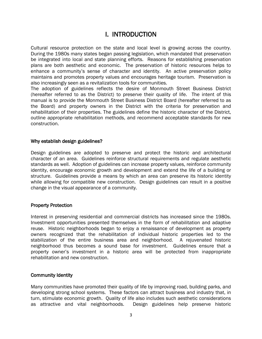# I. INTRODUCTION

Cultural resource protection on the state and local level is growing across the country. During the 1980s many states began passing legislation, which mandated that preservation be integrated into local and state planning efforts. Reasons for establishing preservation plans are both aesthetic and economic. The preservation of historic resources helps to enhance a community's sense of character and identity. An active preservation policy maintains and promotes property values and encourages heritage tourism. Preservation is also increasingly seen as a revitalization tools for communities.

The adoption of guidelines reflects the desire of Monmouth Street Business District (hereafter referred to as the District) to preserve their quality of life. The intent of this manual is to provide the Monmouth Street Business District Board (hereafter referred to as the Board)and property owners in the District with the criteria for preservation and rehabilitation of their properties. The guidelines define the historic character of the District, outline appropriate rehabilitation methods, and recommend acceptable standards for new construction.

#### Why establish design guidelines?

Design guidelines are adopted to preserve and protect the historic and architectural character of an area. Guidelines reinforce structural requirements and regulate aesthetic standards as well. Adoption of guidelines can increase property values, reinforce community identity, encourage economic growth and development and extend the life of a building or structure. Guidelines provide a means by which an area can preserve its historic identity while allowing for compatible new construction. Design guidelines can result in a positive change in the visual appearance of a community.

#### Property Protection

Interest in preserving residential and commercial districts has increased since the 1980s. Investment opportunities presented themselves in the form of rehabilitation and adaptive reuse. Historic neighborhoods began to enjoy a renaissance of development as property owners recognized that the rehabilitation of individual historic properties led to the stabilization of the entire business area and neighborhood. A rejuvenated historic neighborhood thus becomes a sound base for investment. Guidelines ensure that a property owner's investment in a historic area will be protected from inappropriate rehabilitation and new construction.

#### Community Identity

Many communities have promoted their quality of life by improving road, building parks, and developing strong school systems. These factors can attract business and industry that, in turn, stimulate economic growth. Quality of life also includes such aesthetic considerations as attractive and vital neighborhoods. Design guidelines help preserve historic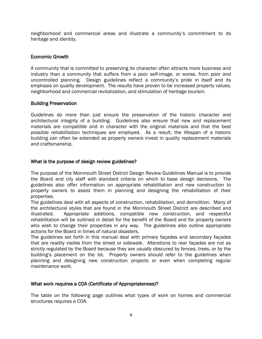neighborhood and commercial areas and illustrate a community's commitment to its heritage and identity.

## Economic Growth

A community that is committed to preserving its character often attracts more business and industry than a community that suffers from a poor self-image, or worse, from poor and uncontrolled planning. Design guidelines reflect a community's pride in itself and its emphasis on quality development. The results have proven to be increased property values, neighborhood and commercial revitalization, and stimulation of heritage tourism.

#### Building Preservation

Guidelines do more than just ensure the preservation of the historic character and architectural integrity of a building. Guidelines also ensure that new and replacement materials are compatible and in character with the original materials and that the best possible rehabilitation techniques are employed. As a result, the lifespan of a historic building can often be extended as property owners invest in quality replacement materials and craftsmanship.

## What is the purpose of design review guidelines?

The purpose of the Monmouth Street District Design Review Guidelines Manual is to provide theBoard and city staff with standard criteria on which to base design decisions. The guidelines also offer information on appropriate rehabilitation and new construction to property owners to assist them in planning and designing the rehabilitation of their properties.

The guidelines deal with all aspects of construction, rehabilitation, and demolition. Many of the architectural styles that are found in the Monmouth Street District are described and illustrated. Appropriate additions, compatible new construction, and respectful rehabilitation will be outlined in detail for the benefit of the Board and for property owners who wish to change their properties in any way. The guidelines also outline appropriate actions for the Board in times of natural disasters.

The guidelines set forth in this manual deal with primary façades and secondary façades that are readily visible from the street or sidewalk. Alterations to rear façades are not as strictly regulated by the Board because they are usually obscured by fences, trees, or by the building's placement on the lot. Property owners should refer to the guidelines when planning and designing new construction projects or even when completing regular maintenance work.

## What work requires a COA (Certificate of Appropriateness)?

The table on the following page outlines what types of work on homes and commercial structures requires a COA.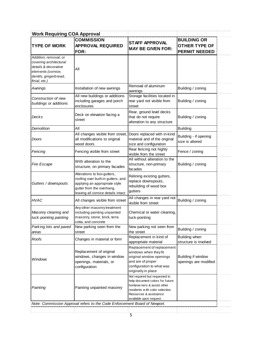| <b>Work Requiring COA Approval</b>                                                                                                      |                                                                                                                                                                       |                                                                                                                                                                                         |                                                                    |  |  |  |  |
|-----------------------------------------------------------------------------------------------------------------------------------------|-----------------------------------------------------------------------------------------------------------------------------------------------------------------------|-----------------------------------------------------------------------------------------------------------------------------------------------------------------------------------------|--------------------------------------------------------------------|--|--|--|--|
| <b>COMMISSION</b><br><b>APPROVAL REQUIRED</b><br><b>TYPE OF WORK</b><br>FOR:                                                            |                                                                                                                                                                       | <b>STAFF APPROVAL</b><br><b>MAY BE GIVEN FOR:</b>                                                                                                                                       | <b>BUILDING OR</b><br><b>OTHER TYPE OF</b><br><b>PERMIT NEEDED</b> |  |  |  |  |
| Addition, removal, or<br>covering architectural<br>details & decorative<br>elements (cornice,<br>dentils, gingerbread,<br>finial, etc.) | Αll                                                                                                                                                                   |                                                                                                                                                                                         |                                                                    |  |  |  |  |
| Awnings                                                                                                                                 | Installation of new awnings                                                                                                                                           | Removal of aluminum<br>awnings                                                                                                                                                          | Building / zoning                                                  |  |  |  |  |
| Construction of new<br>buildings or additions                                                                                           | All new buildings or additions<br>including garages and porch<br>enclosures                                                                                           | Storage facilities located in<br>rear yard not visible from<br>street                                                                                                                   | Building / zoning                                                  |  |  |  |  |
| Decks                                                                                                                                   | Deck on elevation facing a<br>street                                                                                                                                  | Rear, ground level decks<br>that do not require<br>alteration to any structure                                                                                                          | Building / zoning                                                  |  |  |  |  |
| Demolition                                                                                                                              | All                                                                                                                                                                   |                                                                                                                                                                                         | <b>Building</b>                                                    |  |  |  |  |
| Doors                                                                                                                                   | All changes visible from street,<br>all modifications to original<br>wood doors                                                                                       | Doors replaced with in-kind<br>material and of the original<br>size and configuration                                                                                                   | Building - if opening<br>size is altered                           |  |  |  |  |
| Fencing                                                                                                                                 | Fencing visible from street                                                                                                                                           | Rear fencing not highly<br>visible from the street                                                                                                                                      | Fence / zoning                                                     |  |  |  |  |
| <b>Fire Escape</b>                                                                                                                      | With alteration to the<br>structure, on primary facades                                                                                                               | All without alteration to the<br>structure, non-primary<br>facades                                                                                                                      | Building / zoning                                                  |  |  |  |  |
| Gutters / downspouts                                                                                                                    | Alterations to box gutters,<br>roofing over built-in gutters, and<br>applying an appropriate style<br>gutter from the overhang,<br>leaving all cornice details intact | Relining existing gutters,<br>replace downspouts,<br>rebuilding of wood box<br>gutters                                                                                                  |                                                                    |  |  |  |  |
| <b>HVAC</b>                                                                                                                             | All changes visible from street                                                                                                                                       | All changes in rear yard not<br>visible from street                                                                                                                                     | Building / zoning                                                  |  |  |  |  |
| Masonry cleaning and<br>tuck-pointing painting                                                                                          | Any other masonry treatment<br>including painting unpainted<br>masonry, stone, brick, terra<br>cotta, and concrete                                                    | Chemical or water cleaning,<br>tuck-pointing                                                                                                                                            |                                                                    |  |  |  |  |
| Parking lots and paved<br>areas                                                                                                         | New parking seen from the<br>street                                                                                                                                   | New parking not seen from<br>the street                                                                                                                                                 | Building / zoning                                                  |  |  |  |  |
| Roofs                                                                                                                                   | Changes in material or form                                                                                                                                           | Replacement in kind of<br>appropriate material                                                                                                                                          | Building when<br>structure is involved                             |  |  |  |  |
| Windows                                                                                                                                 | Replacement of original<br>windows, changes in window<br>openings, materials, or<br>configuration                                                                     | Replacement of replacement<br>windows when they fit<br>original window openings<br>and are of proper<br>configuration to what was<br>originally in place                                | Building if window<br>openings are modified                        |  |  |  |  |
| Painting                                                                                                                                | Painting unpainted masonry                                                                                                                                            | Not required but requested to<br>help document colors for future<br>homeow ners & assist other<br>residents w ith color selection.<br>Resources & assistance<br>available upon request. |                                                                    |  |  |  |  |
|                                                                                                                                         | Note: Commission Approval refers to the Code Enforcement Board of Newport.                                                                                            |                                                                                                                                                                                         |                                                                    |  |  |  |  |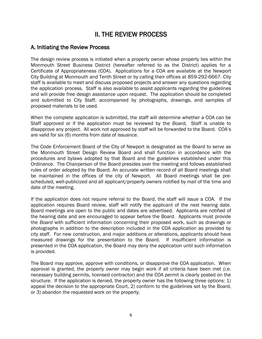# II. THE REVIEW PROCESS

# A. Initiating the Review Process

The design review process is initiated when a property owner whose property lies within the Monmouth Street Business District (hereafter referred to as the District) applies for a Certificate of Appropriateness (COA). Applications for a COA are available at the Newport City Building at Monmouth and Tenth Street or by calling their offices at 859-292-6667. City staff is available to meet and discuss proposed projects and answer any questions regarding the application process. Staff is also available to assist applicants regarding the guidelines and will provide free design assistance upon request. The application should be completed and submitted to City Staff, accompanied by photographs, drawings, and samples of proposed materials to be used.

When the complete application is submitted, the staff will determine whether a COA can be Staff approved or if the application must be reviewed by the *Board.* Staff is unable to disapprove any project. All work not approved by staff will be forwarded to the Board. COA's are valid for six (6) months from date of issuance.

The Code Enforcement Board of the City of Newport is designated as the Board to serve as the Monmouth Street Design Review Board and shall function in accordance with the procedures and bylaws adopted by that Board and the guidelines established under this Ordinance. The Chairperson of the Board presides over the meeting and follows established rules of order adopted by the Board. An accurate written record of all Board meetings shall be maintained in the offices of the city of Newport. All Board meetings shall be prescheduled, well-publicized and all applicant/property owners notified by mail of the time and date of the meeting.

If the application does not require referral to the Board, the staff will issue a COA. If the application requires Board review, staff will notify the applicant of the next hearing date. Board meetings are open to the public and dates are advertised*.* Applicants are notified of the hearing date and are encouraged to appear before the Board. Applicants must provide the *Board* with sufficient information concerning their proposed work, such as drawings or photographs in addition to the description included in the COA application as provided by city staff. For new construction, and major additions or alterations, applicants should have measured drawings for the presentation to the Board. If insufficient information is presented in the COA application, the Board may deny the application until such information is provided.

The Board may approve, approve with conditions, or disapprove the COA application. When approval is granted, the property owner may begin work if all criteria have been met (i.e. necessary building permits, licensed contractor) and the COA permit is clearly posted on the structure. If the application is denied, the property owner has the following three options: 1) appeal the decision to the appropriate Court, 2) conform to the guidelines set by the Board, or 3) abandon the requested work on the property.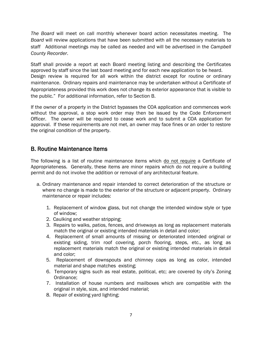*The Board* will meet on call monthly whenever board action necessitates meeting. The *Board* will review applications that have been submitted with all the necessary materials to staff Additional meetings may be called as needed and will be advertised in the *Campbell County Recorder*.

Staff shall provide a report at each Board meeting listing and describing the Certificates approved by staff since the last board meeting and for each new application to be heard. Design review is required for all work within the district except for routine or ordinary maintenance. Ordinary repairs and maintenance may be undertaken without a Certificate of Appropriateness provided this work does not change its exterior appearance that is visible to the public." For additional information, refer to Section B.

If the owner of a property in the District bypasses the COA application and commences work without the approval, a stop work order may then be issued by the Code Enforcement Officer. The owner will be required to cease work and to submit a COA application for approval. If these requirements are not met, an owner may face fines or an order to restore the original condition of the property.

# B. Routine Maintenance Items

The following is a list of routine maintenance items which do not require a Certificate of Appropriateness. Generally, these items are minor repairs which do not require a building permit and do not involve the addition or removal of any architectural feature.

- a. Ordinary maintenance and repair intended to correct deterioration of the structure or where no change is made to the exterior of the structure or adjacent property. Ordinary maintenance or repair includes:
	- 1. Replacement of window glass, but not change the intended window style or type of window;
	- 2. Caulking and weather stripping;
	- 3. Repairs to walks, patios, fences, and driveways as long as replacement materials match the original or existing intended materials in detail and color;
	- 4. Replacement of small amounts of missing or deteriorated intended original or existing siding, trim roof covering, porch flooring, steps, etc., as long as replacement materials match the original or existing intended materials in detail and color;
	- 5. Replacement of downspouts and chimney caps as long as color, intended material and shape matches existing;
	- 6. Temporary signs such as real estate, political, etc; are covered by city's Zoning Ordinance;
	- 7. Installation of house numbers and mailboxes which are compatible with the original in style, size, and intended material;
	- 8. Repair of existing yard lighting;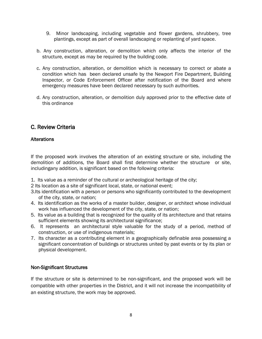- 9. Minor landscaping, including vegetable and flower gardens, shrubbery, tree plantings, except as part of overall landscaping or replanting of yard space.
- b. Any construction, alteration, or demolition which only affects the interior of the structure, except as may be required by the building code.
- c. Any construction, alteration, or demolition which is necessary to correct or abate a condition which has been declared unsafe by the Newport Fire Department, Building Inspector, or Code Enforcement Officer after notification of the Board and where emergency measures have been declared necessary by such authorities.
- d. Any construction, alteration, or demolition duly approved prior to the effective date of this ordinance

# C. Review Criteria

# **Alterations**

If the proposed work involves the alteration of an existing structure or site, including the demolition of additions, the Board shall first determine whether the structure or site, includingany addition, is significant based on the following criteria:

- 1. Its value as a reminder of the cultural or archeological heritage of the city;
- 2 Its location as a site of significant local, state, or national event;
- 3.Its identification with a person or persons who significantly contributed to the development of the city, state, or nation;
- 4. Its identification as the works of a master builder, designer, or architect whose individual work has influenced the development of the city, state, or nation;
- 5. Its value as a building that is recognized for the quality of its architecture and that retains sufficient elements showing its architectural significance;
- 6. It represents an architectural style valuable for the study of a period, method of construction, or use of indigenous materials;
- 7. Its character as a contributing element in a geographically definable area possessing a significant concentration of buildings or structures united by past events or by its plan or physical development.

## Non-Significant Structures

If the structure or site is determined to be non-significant, and the proposed work will be compatible with other properties in the District, and it will not increase the incompatibility of an existing structure, the work may be approved.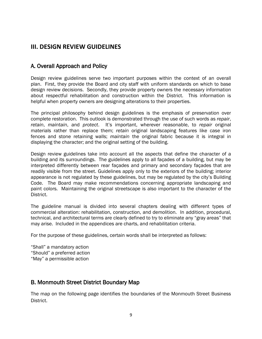# **III. DESIGN REVIEW GUIDELINES**

# A. Overall Approach and Policy

Design review guidelines serve two important purposes within the context of an overall plan. First, they provide the Board and city staff with uniform standards on which to base design review decisions. Secondly, they provide property owners the necessary information about respectful rehabilitation and construction within the District. This information is helpful when property owners are designing alterations to their properties.

The principal philosophy behind design guidelines is the emphasis of preservation over complete restoration. This outlook is demonstrated through the use of such words as *repair*, *retain*, *maintain*, and *protect*. It's important, wherever reasonable, to *repair* original materials rather than replace them; *retain* original landscaping features like case iron fences and stone retaining walls; *maintain* the original fabric because it is integral in displaying the character; and the original setting of the building.

Design review guidelines take into account all the aspects that define the character of a building and its surroundings. The guidelines apply to all façades of a building, but may be interpreted differently between rear façades and primary and secondary façades that are readily visible from the street. Guidelines apply only to the exteriors of the building; interior appearance is not regulated by these guidelines, but may be regulated by the city's Building Code. The Board may make recommendations concerning appropriate landscaping and paint colors. Maintaining the original streetscape is also important to the character of the District.

The guideline manual is divided into several chapters dealing with different types of commercial alteration: rehabilitation, construction, and demolition. In addition, procedural, technical, and architectural terms are clearly defined to try to eliminate any "gray areas" that may arise. Included in the appendices are charts, and rehabilitation criteria.

For the purpose of these guidelines, certain words shall be interpreted as follows:

"Shall" a mandatory action "Should" a preferred action "May" a permissible action

# B. Monmouth Street District Boundary Map

The map on the following page identifies the boundaries of the Monmouth Street Business District.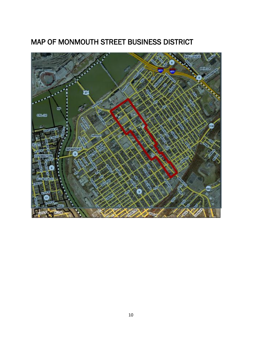

# MAP OF MONMOUTH STREET BUSINESS DISTRICT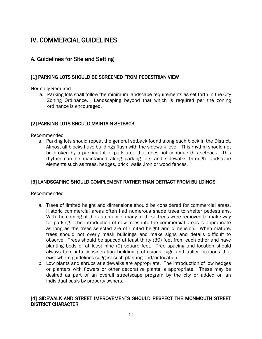# IV. COMMERCIAL GUIDELINES

# A. Guidelines for Site and Setting

## [1] PARKING LOTS SHOULD BE SCREENED FROM PEDESTRIAN VIEW

Normally Required

a. Parking lots shall follow the minimum landscape requirements as set forth in the City Zoning Ordinance. Landscaping beyond that which is required per the zoning ordinance is encouraged.

# [2] PARKING LOTS SHOULD MAINTAIN SETBACK

Recommended

a. Parking lots should repeat the general setback found along each block in the District. Almost all blocks have buildings flush with the sidewalk level. This rhythm should not be broken by a parking lot or park area that does not continue this setback. This rhythm can be maintained along parking lots and sidewalks through landscape elements such as trees, hedges, brick walls ,iron or wood fences.

# [3] LANDSCAPING SHOULD COMPLEMENT RATHER THAN DETRACT FROM BUILDINGS

#### Recommended

- a. Trees of limited height and dimensions should be considered for commercial areas. Historic commercial areas often had numerous shade trees to shelter pedestrians. With the coming of the automobile, many of these trees were removed to make way for parking. The introduction of new trees into the commercial areas is appropriate as long as the trees selected are of limited height and dimension. When mature, trees should not overly mask buildings and make signs and details difficult to observe. Trees should be spaced at least thirty (30) feet from each other and have planting beds of at least nine (9) square feet. Tree spacing and location should always take into consideration building protrusions, sign and utility locations that exist where guidelines suggest such planting and/or location.
- b. Low plants and shrubs at sidewalks are appropriate. The introduction of low hedges or planters with flowers or other decorative plants is appropriate. These may be desired as part of an overall streetscape program by the city or added on an individual basis by property owners.

# [4] SIDEWALK AND STREET IMPROVEMENTS SHOULD RESPECT THE MONMOUTH STREET DISTRICT CHARACTER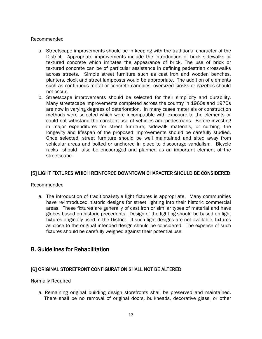#### Recommended

- a. Streetscape improvements should be in keeping with the traditional character of the District. Appropriate improvements include the introduction of brick sidewalks or textured concrete which imitates the appearance of brick. The use of brick or textured concrete can be of particular assistance in defining pedestrian crosswalks across streets. Simple street furniture such as cast iron and wooden benches, planters, clock and street lampposts would be appropriate. The addition of elements such as continuous metal or concrete canopies, oversized kiosks or gazebos should not occur.
- b. Streetscape improvements should be selected for their simplicity and durability. Many streetscape improvements completed across the country in 1960s and 1970s are now in varying degrees of deterioration. In many cases materials or construction methods were selected which were incompatible with exposure to the elements or could not withstand the constant use of vehicles and pedestrians. Before investing in major expenditures for street furniture, sidewalk materials, or curbing, the longevity and lifespan of the proposed improvements should be carefully studied. Once selected, street furniture should be well maintained and sited away from vehicular areas and bolted or anchored in place to discourage vandalism. Bicycle racks should also be encouraged and planned as an important element of the streetscape.

## [5] LIGHT FIXTURES WHICH REINFORCE DOWNTOWN CHARACTER SHOULD BE CONSIDERED

#### Recommended

a. The introduction of traditional-style light fixtures is appropriate. Many communities have re-introduced historic designs for street lighting into their historic commercial areas. These fixtures are generally of cast iron or similar types of material and have globes based on historic precedents. Design of the lighting should be based on light fixtures originally used in the District. If such light designs are not available, fixtures as close to the original intended design should be considered. The expense of such fixtures should be carefully weighed against their potential use.

# B. Guidelines for Rehabilitation

## [6] ORIGINAL STOREFRONT CONFIGURATION SHALL NOT BE ALTERED

#### Normally Required

a. Remaining original building design storefronts shall be preserved and maintained. There shall be no removal of original doors, bulkheads, decorative glass, or other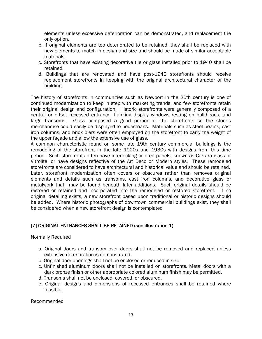elements unless excessive deterioration can be demonstrated, and replacement the only option.

- b. If original elements are too deteriorated to be retained, they shall be replaced with new elements to match in design and size and should be made of similar acceptable materials.
- c. Storefronts that have existing decorative tile or glass installed prior to 1940 shall be retained.
- d. Buildings that are renovated and have post-1940 storefronts should receive replacement storefronts in keeping with the original architectural character of the building.

The history of storefronts in communities such as Newport in the 20th century is one of continued modernization to keep in step with marketing trends, and few storefronts retain their original design and configuration. Historic storefronts were generally composed of a central or offset recessed entrance, flanking display windows resting on bulkheads, and large transoms. Glass composed a good portion of the storefronts so the store's merchandise could easily be displayed to pedestrians. Materials such as steel beams, cast iron columns, and brick piers were often employed on the storefront to carry the weight of the upper façade and allow the extensive use of glass.

A common characteristic found on some late 19th century commercial buildings is the remodeling of the storefront in the late 1920s and 1930s with designs from this time period. Such storefronts often have interlocking colored panels, known as Carrara glass or Vitrolite, or have designs reflective of the Art Deco or Modern styles. These remodeled storefronts are considered to have architectural and historical value and should be retained. Later, storefront modernization often covers or obscures rather than removes original elements and details such as transoms, cast iron columns, and decorative glass or metalwork that may be found beneath later additions. Such original details should be restored or retained and incorporated into the remodeled or restored storefront. If no original detailing exists, a new storefront based upon traditional or historic designs should be added. Where historic photographs of downtown commercial buildings exist, they shall be considered when a new storefront design is contemplated

## [7] ORIGINAL ENTRANCES SHALL BE RETAINED (see illustration 1)

Normally Required

- a. Original doors and transom over doors shall not be removed and replaced unless extensive deterioration is demonstrated.
- b. Original door openings shall not be enclosed or reduced in size.
- c. Unfinished aluminum doors shall not be installed on storefronts. Metal doors with a dark bronze finish or other appropriate colored aluminum finish may be permitted.
- d. Transoms shall not be enclosed, covered, or obscured.
- e. Original designs and dimensions of recessed entrances shall be retained where feasible.

Recommended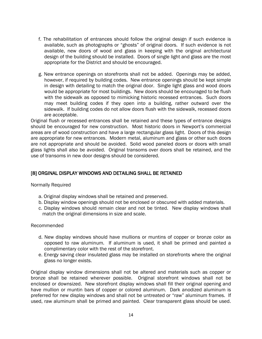- f. The rehabilitation of entrances should follow the original design if such evidence is available, such as photographs or "ghosts" of original doors. If such evidence is not available, new doors of wood and glass in keeping with the original architectural design of the building should be installed. Doors of single light and glass are the most appropriate for the District and should be encouraged.
- g. New entrance openings on storefronts shall not be added. Openings may be added, however, if required by building codes. New entrance openings should be kept simple in design with detailing to match the original door. Single light glass and wood doors would be appropriate for most buildings. New doors should be encouraged to be flush with the sidewalk as opposed to mimicking historic recessed entrances. Such doors may meet building codes if they open into a building, rather outward over the sidewalk. If building codes do not allow doors flush with the sidewalk, recessed doors are acceptable.

Original flush or recessed entrances shall be retained and these types of entrance designs should be encouraged for new construction. Most historic doors in Newport's commercial areas are of wood construction and have a large rectangular glass light. Doors of this design are appropriate for new entrances. Modern metal, aluminum and glass or other such doors are not appropriate and should be avoided. Solid wood paneled doors or doors with small glass lights shall also be avoided. Original transoms over doors shall be retained, and the use of transoms in new door designs should be considered.

## [8] ORGINAL DISPLAY WINDOWS AND DETAILING SHALL BE RETAINED

#### Normally Required

- a. Original display windows shall be retained and preserved.
- b. Display window openings should not be enclosed or obscured with added materials.
- c. Display windows should remain clear and not be tinted. New display windows shall match the original dimensions in size and scale.

#### Recommended

- d. New display windows should have mullions or muntins of copper or bronze color as opposed to raw aluminum. If aluminum is used, it shall be primed and painted a complimentary color with the rest of the storefront.
- e. Energy saving clear insulated glass may be installed on storefronts where the original glass no longer exists.

Original display window dimensions shall not be altered and materials such as copper or bronze shall be retained wherever possible. Original storefront windows shall not be enclosed or downsized. New storefront display windows shall fill their original opening and have mullion or muntin bars of copper or colored aluminum. Dark anodized aluminum is preferred for new display windows and shall not be untreated or "raw" aluminum frames. If used, raw aluminum shall be primed and painted. Clear transparent glass should be used.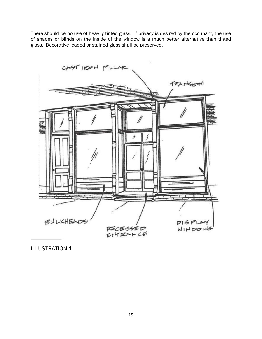There should be no use of heavily tinted glass. If privacy is desired by the occupant, the use of shades or blinds on the inside of the window is a much better alternative than tinted glass. Decorative leaded or stained glass shall be preserved.



ILLUSTRATION 1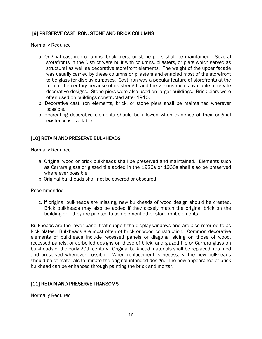# [9] PRESERVE CAST IRON, STONE AND BRICK COLUMNS

Normally Required

- a. Original cast iron columns, brick piers, or stone piers shall be maintained. Several storefronts in the District were built with columns, pilasters, or piers which served as structural as well as decorative storefront elements. The weight of the upper façade was usually carried by these columns or pilasters and enabled most of the storefront to be glass for display purposes. Cast iron was a popular feature of storefronts at the turn of the century because of its strength and the various molds available to create decorative designs. Stone piers were also used on larger buildings. Brick piers were often used on buildings constructed after 1910.
- b. Decorative cast iron elements, brick, or stone piers shall be maintained wherever possible.
- c. Recreating decorative elements should be allowed when evidence of their original existence is available.

## [10] RETAIN AND PRESERVE BULKHEADS

Normally Required

- a. Original wood or brick bulkheads shall be preserved and maintained. Elements such as Carrara glass or glazed tile added in the 1920s or 1930s shall also be preserved where ever possible.
- b. Original bulkheads shall not be covered or obscured.

Recommended

c. If original bulkheads are missing, new bulkheads of wood design should be created. Brick bulkheads may also be added if they closely match the original brick on the building or if they are painted to complement other storefront elements.

Bulkheads are the lower panel that support the display windows and are also referred to as kick plates. Bulkheads are most often of brick or wood construction. Common decorative elements of bulkheads include recessed panels or diagonal siding on those of wood, recessed panels, or corbelled designs on those of brick, and glazed tile or Carrara glass on bulkheads of the early 20th century. Original bulkhead materials shall be replaced, retained and preserved whenever possible. When replacement is necessary, the new bulkheads should be of materials to imitate the original intended design. The new appearance of brick bulkhead can be enhanced through painting the brick and mortar.

## [11] RETAIN AND PRESERVE TRANSOMS

Normally Required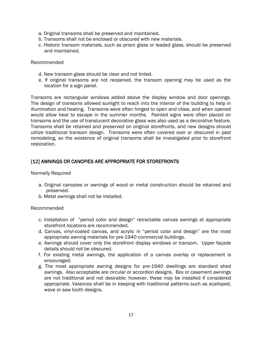- a. Original transoms shall be preserved and maintained.
- b. Transoms shall not be enclosed or obscured with new materials.
- c. Historic transom materials, such as prism glass or leaded glass, should be preserved and maintained.

#### Recommended

- d. New transom glass should be clear and not tinted.
- e. If original transoms are not reopened, the transom opening may be used as the location for a sign panel.

Transoms are rectangular windows added above the display window and door openings. The design of transoms allowed sunlight to reach into the interior of the building to help in illumination and heating. Transoms were often hinged to open and close, and when opened would allow heat to escape in the summer months. Painted signs were often placed on transoms and the use of translucent decorative glass was also used as a decorative feature. Transoms shall be retained and preserved on original storefronts, and new designs should utilize traditional transom design. Transoms were often covered over or obscured in past remodeling, so the existence of original transoms shall be investigated prior to storefront restoration.

# [12] AWNINGS OR CANOPIES ARE APPROPRIATE FOR STOREFRONTS

#### Normally Required

- a. Original canopies or awnings of wood or metal construction should be retained and preserved.
- b. Metal awnings shall not be installed.

#### Recommended

- c. Installation of "period color and design" retractable canvas awnings at appropriate storefront locations are recommended.
- d. Canvas, vinyl-coated canvas, and acrylic in "period color and design" are the most appropriate awning materials for pre-1940 commercial buildings.
- e. Awnings should cover only the storefront display windows or transom. Upper façade details should not be obscured.
- f. For existing metal awnings, the application of a canvas overlay or replacement is encouraged.
- g. The most appropriate awning designs for pre-1940 dwellings are standard shed awnings. Also acceptable are circular or accordion designs. Box or casement awnings are not traditional and not desirable; however, these may be installed if considered appropriate. Valances shall be in keeping with traditional patterns such as scalloped, wave or saw tooth designs.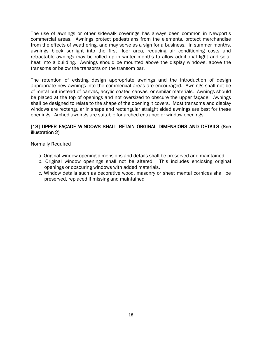The use of awnings or other sidewalk coverings has always been common in Newport's commercial areas. Awnings protect pedestrians from the elements, protect merchandise from the effects of weathering, and may serve as a sign for a business. In summer months, awnings block sunlight into the first floor area, reducing air conditioning costs and retractable awnings may be rolled up in winter months to allow additional light and solar heat into a building. Awnings should be mounted above the display windows, above the transoms or below the transoms on the transom bar.

The retention of existing design appropriate awnings and the introduction of design appropriate new awnings into the commercial areas are encouraged. Awnings shall not be of metal but instead of canvas, acrylic coated canvas, or similar materials. Awnings should be placed at the top of openings and not oversized to obscure the upper façade. Awnings shall be designed to relate to the shape of the opening it covers. Most transoms and display windows are rectangular in shape and rectangular straight sided awnings are best for these openings. Arched awnings are suitable for arched entrance or window openings.

## [13] UPPER FAÇADE WINDOWS SHALL RETAIN ORGINAL DIMENSIONS AND DETAILS (See illustration 2)

Normally Required

- a. Original window opening dimensions and details shall be preserved and maintained.
- b. Original window openings shall not be altered. This includes enclosing original openings or obscuring windows with added materials.
- c. Window details such as decorative wood, masonry or sheet mental cornices shall be preserved, replaced if missing and maintained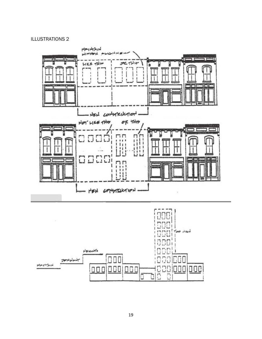#### ILLUSTRATIONS 2

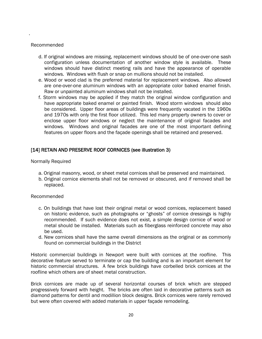#### Recommended

.

- d. If original windows are missing, replacement windows should be of one-over-one sash configuration unless documentation of another window style is available. These windows should have distinct meeting rails and have the appearance of operable windows. Windows with flush or snap on mullions should not be installed.
- e. Wood or wood clad is the preferred material for replacement windows. Also allowed are one-over-one aluminum windows with an appropriate color baked enamel finish. Raw or unpainted aluminum windows shall not be installed.
- f. Storm windows may be applied if they match the original window configuration and have appropriate baked enamel or painted finish. Wood storm windows should also be considered. Upper floor areas of buildings were frequently vacated in the 1960s and 1970s with only the first floor utilized. This led many property owners to cover or enclose upper floor windows or neglect the maintenance of original facades and windows. Windows and original facades are one of the most important defining features on upper floors and the façade openings shall be retained and preserved.

## [14] RETAIN AND PRESERVE ROOF CORNICES (see illustration 3)

Normally Required

- a. Original masonry, wood, or sheet metal cornices shall be preserved and maintained.
- b. Original cornice elements shall not be removed or obscured, and if removed shall be replaced.

#### Recommended

- c. On buildings that have lost their original metal or wood cornices, replacement based on historic evidence, such as photographs or "ghosts" of cornice dressings is highly recommended. If such evidence does not exist, a simple design cornice of wood or metal should be installed. Materials such as fiberglass reinforced concrete may also be used.
- d. New cornices shall have the same overall dimensions as the original or as commonly found on commercial buildings in the District

Historic commercial buildings in Newport were built with cornices at the roofline. This decorative feature served to terminate or cap the building and is an important element for historic commercial structures. A few brick buildings have corbelled brick cornices at the roofline which others are of sheet metal construction.

Brick cornices are made up of several horizontal courses of brick which are stepped progressively forward with height. The bricks are often laid in decorative patterns such as diamond patterns for dentil and modillion block designs. Brick cornices were rarely removed but were often covered with added materials in upper façade remodeling.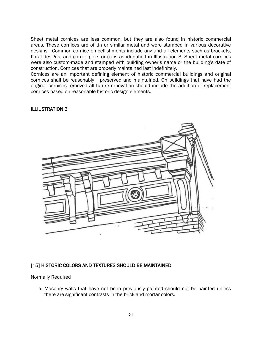Sheet metal cornices are less common, but they are also found in historic commercial areas. These cornices are of tin or similar metal and were stamped in various decorative designs. Common cornice embellishments include any and all elements such as brackets, floral designs, and corner piers or caps as identified in Illustration 3. Sheet metal cornices were also custom-made and stamped with building owner's name or the building's date of construction. Cornices that are properly maintained last indefinitely.

Cornices are an important defining element of historic commercial buildings and original cornices shall be reasonably preserved and maintained. On buildings that have had the original cornices removed all future renovation should include the addition of replacement cornices based on reasonable historic design elements.

## ILLIUSTRATION 3



#### [15] HISTORIC COLORS AND TEXTURES SHOULD BE MAINTAINED

Normally Required

a. Masonry walls that have not been previously painted should not be painted unless there are significant contrasts in the brick and mortar colors.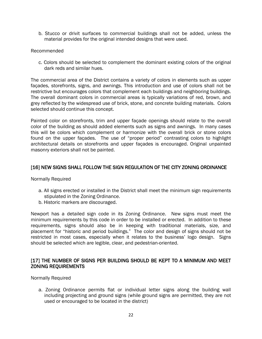b. Stucco or drivit surfaces to commercial buildings shall not be added, unless the material provides for the original intended designs that were used.

#### Recommended

c. Colors should be selected to complement the dominant existing colors of the original dark reds and similar hues.

The commercial area of the District contains a variety of colors in elements such as upper façades, storefronts, signs, and awnings. This introduction and use of colors shall not be restrictive but encourages colors that complement each buildings and neighboring buildings. The overall dominant colors in commercial areas is typically variations of red, brown, and grey reflected by the widespread use of brick, stone, and concrete building materials. Colors selected should continue this concept.

Painted color on storefronts, trim and upper façade openings should relate to the overall color of the building as should added elements such as signs and awnings. In many cases this will be colors which complement or harmonize with the overall brick or stone colors found on the upper façades. The use of "proper period" contrasting colors to highlight architectural details on storefronts and upper façades is encouraged. Original unpainted masonry exteriors shall not be painted.

## [16] NEW SIGNS SHALL FOLLOW THE SIGN REGULATION OF THE CITY ZONING ORDINANCE

Normally Required

- a. All signs erected or installed in the District shall meet the minimum sign requirements stipulated in the Zoning Ordinance.
- b. Historic markers are discouraged.

Newport has a detailed sign code in its Zoning Ordinance. New signs must meet the minimum requirements by this code in order to be installed or erected. In addition to these requirements, signs should also be in keeping with traditional materials, size, and placement for "historic and period buildings." The color and design of signs should not be restricted in most cases, especially when it relates to the business' logo design. Signs should be selected which are legible, clear, and pedestrian-oriented.

## [17] THE NUMBER OF SIGNS PER BUILDING SHOULD BE KEPT TO A MINIMUM AND MEET ZONING REQUIREMENTS

#### Normally Required

a. Zoning Ordinance permits flat or individual letter signs along the building wall including projecting and ground signs (while ground signs are permitted, they are not used or encouraged to be located in the district)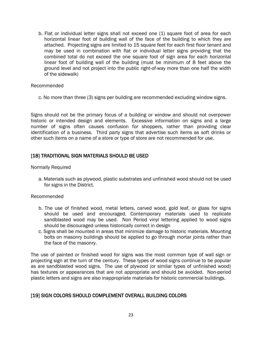b. Flat or individual letter signs shall not exceed one (1) square foot of area for each horizontal linear foot of building wall of the face of the building to which they are attached. Projecting signs are limited to 15 square feet for each first floor tenant and may be used in combination with flat or individual letter signs providing that the combined total do not exceed the one square foot of sign area for each horizontal linear foot of building wall of the building (must be minimum of 8 feet above the ground level and not project into the public right-of-way more than one half the width of the sidewalk)

#### Recommended

c. No more than three (3) signs per building are recommended excluding window signs.

Signs should not be the primary focus of a building or window and should not overpower historic or intended design and elements. Excessive information on signs and a large number of signs often causes confusion for shoppers, rather than providing clear identification of a business. Third party signs that advertise such items as soft drinks or other such items on a name of a store or type of store are not recommended for use.

#### [18] TRADITIONAL SIGN MATERIALS SHOULD BE USED

#### Normally Required

a. Materials such as plywood, plastic substrates and unfinished wood should not be used for signs in the District.

#### Recommended

- b. The use of finished wood, metal letters, carved wood, gold leaf, or glass for signs should be used and encouraged. Contemporary materials used to replicate sandblasted wood may be used. Non Period vinyl lettering applied to wood signs should be discouraged unless historically correct in design
- c. Signs shall be mounted in areas that minimize damage to historic materials. Mounting bolts on masonry buildings should be applied to go through mortar joints rather than the face of the masonry.

The use of painted or finished wood for signs was the most common type of wall sign or projecting sign at the turn of the century. These types of wood signs continue to be popular as are sandblasted wood signs. The use of plywood (or similar types of unfinished wood) has textures or appearances that are not appropriate and should be avoided. Non-period plastic letters and signs are also inappropriate materials for historic commercial buildings.

## [19] SIGN COLORS SHOULD COMPLEMENT OVERALL BUILDING COLORS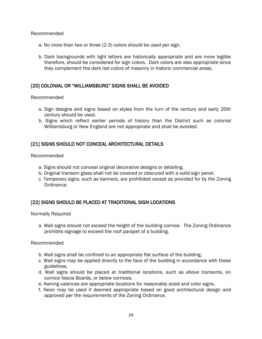#### Recommended

- a. No more than two or three (2-3) colors should be used per sign.
- b. Dark backgrounds with light letters are historically appropriate and are more legible therefore, should be considered for sign colors. Dark colors are also appropriate since they complement the dark red colors of masonry in historic commercial areas.

## [20] COLONIAL OR "WILLIAMSBURG" SIGNS SHALL BE AVOIDED

#### Recommended

- a. Sign designs and signs based on styles from the turn of the century and early 20th century should be used.
- b. Signs which reflect earlier periods of history than the District such as colonial Williamsburg or New England are not appropriate and shall be avoided.

# [21] SIGNS SHOULD NOT CONCEAL ARCHITECTURAL DETAILS

Recommended

- a. Signs should not conceal original decorative designs or detailing.
- b. Original transom glass shall not be covered or obscured with a solid sign panel.
- c. Temporary signs, such as banners, are prohibited except as provided for by the Zoning Ordinance.

## [22] SIGNS SHOULD BE PLACED AT TRADITIONAL SIGN LOCATIONS

Normally Required

a. Wall signs should not exceed the height of the building cornice. The Zoning Ordinance prohibits signage to exceed the roof parapet of a building.

#### Recommended

- b. Wall signs shall be confined to an appropriate flat surface of the building.
- c. Wall signs may be applied directly to the face of the building in accordance with these guidelines.
- d. Wall signs should be placed at traditional locations, such as above transoms, on cornice fascia Boards, or below cornices.
- e. Awning valences are appropriate locations for reasonably sized and color signs.
- f. Neon may be used if deemed appropriate based on good architectural design and approved per the requirements of the Zoning Ordinance.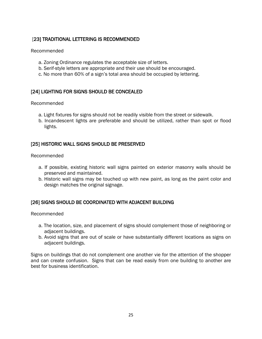# [23] TRADITIONAL LETTERING IS RECOMMENDED

#### Recommended

- a. Zoning Ordinance regulates the acceptable size of letters.
- b. Serif-style letters are appropriate and their use should be encouraged.
- c. No more than 60% of a sign's total area should be occupied by lettering.

## [24] LIGHTING FOR SIGNS SHOULD BE CONCEALED

#### Recommended

- a. Light fixtures for signs should not be readily visible from the street or sidewalk.
- b. Incandescent lights are preferable and should be utilized, rather than spot or flood lights.

## [25] HISTORIC WALL SIGNS SHOULD BE PRESERVED

#### Recommended

- a. If possible, existing historic wall signs painted on exterior masonry walls should be preserved and maintained.
- b. Historic wall signs may be touched up with new paint, as long as the paint color and design matches the original signage.

## [26] SIGNS SHOULD BE COORDINATED WITH ADJACENT BUILDING

#### Recommended

- a. The location, size, and placement of signs should complement those of neighboring or adiacent buildings.
- b. Avoid signs that are out of scale or have substantially different locations as signs on adjacent buildings.

Signs on buildings that do not complement one another vie for the attention of the shopper and can create confusion. Signs that can be read easily from one building to another are best for business identification.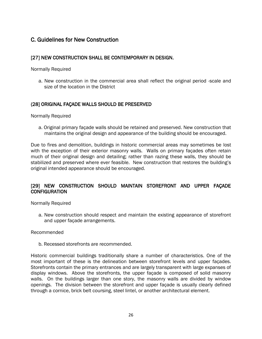# C. Guidelines for New Construction

## [27] NEW CONSTRUCTION SHALL BE CONTEMPORARY IN DESIGN.

Normally Required

a. New construction in the commercial area shall reflect the original period -scale and size of the location in the District

## (28] ORIGINAL FAÇADE WALLS SHOULD BE PRESERVED

Normally Required

a. Original primary façade walls should be retained and preserved. New construction that maintains the original design and appearance of the building should be encouraged.

Due to fires and demolition, buildings in historic commercial areas may sometimes be lost with the exception of their exterior masonry walls. Walls on primary façades often retain much of their original design and detailing; rather than razing these walls, they should be stabilized and preserved where ever feasible. New construction that restores the building's original intended appearance should be encouraged.

# [29] NEW CONSTRUCTION SHOULD MAINTAIN STOREFRONT AND UPPER FAÇADE **CONFIGURATION**

Normally Required

a. New construction should respect and maintain the existing appearance of storefront and upper façade arrangements.

#### Recommended

b. Recessed storefronts are recommended.

Historic commercial buildings traditionally share a number of characteristics. One of the most important of these is the delineation between storefront levels and upper façades. Storefronts contain the primary entrances and are largely transparent with large expanses of display windows. Above the storefronts, the upper façade is composed of solid masonry walls. On the buildings larger than one story, the masonry walls are divided by window openings. The division between the storefront and upper façade is usually clearly defined through a cornice, brick belt coursing, steel lintel, or another architectural element.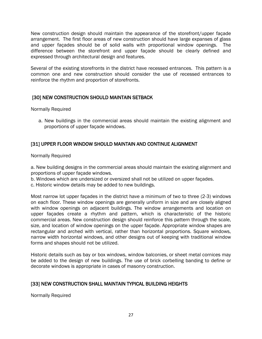New construction design should maintain the appearance of the storefront/upper façade arrangement. The first floor areas of new construction should have large expanses of glass and upper façades should be of solid walls with proportional window openings. The difference between the storefront and upper façade should be clearly defined and expressed through architectural design and features.

Several of the existing storefronts in the district have recessed entrances. This pattern is a common one and new construction should consider the use of recessed entrances to reinforce the rhythm and proportion of storefronts.

# [30] NEW CONSTRUCTION SHOULD MAINTAIN SETBACK

Normally Required

a. New buildings in the commercial areas should maintain the existing alignment and proportions of upper façade windows.

# [31] UPPER FLOOR WINDOW SHOULD MAINTAIN AND CONTINUE ALIGNMENT

Normally Required

a. New building designs in the commercial areas should maintain the existing alignment and proportions of upper façade windows.

b. Windows which are undersized or oversized shall not be utilized on upper façades.

c. Historic window details may be added to new buildings.

Most narrow lot upper façades in the district have a minimum of two to three (2-3) windows on each floor. These window openings are generally uniform in size and are closely aligned with window openings on adjacent buildings. The window arrangements and location on upper façades create a rhythm and pattern, which is characteristic of the historic commercial areas. New construction design should reinforce this pattern through the scale, size, and location of window openings on the upper façade. Appropriate window shapes are rectangular and arched with vertical, rather than horizontal proportions. Square windows, narrow width horizontal windows, and other designs out of keeping with traditional window forms and shapes should not be utilized.

Historic details such as bay or box windows, window balconies, or sheet metal cornices may be added to the design of new buildings. The use of brick corbelling banding to define or decorate windows is appropriate in cases of masonry construction.

# [33] NEW CONSTRUCTION SHALL MAINTAIN TYPICAL BUILDING HEIGHTS

Normally Required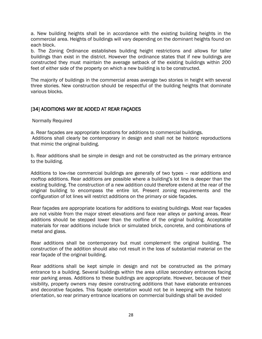a. New building heights shall be in accordance with the existing building heights in the commercial area. Heights of buildings will vary depending on the dominant heights found on each block.

b. The Zoning Ordinance establishes building height restrictions and allows for taller buildings than exist in the district. However the ordinance states that if new buildings are constructed they must maintain the average setback of the existing buildings within 200 feet of either side of the property on which a new building is to be constructed.

The majority of buildings in the commercial areas average two stories in height with several three stories. New construction should be respectful of the building heights that dominate various blocks.

# [34] ADDITIONS MAY BE ADDED AT REAR FAÇADES

Normally Required

a. Rear façades are appropriate locations for additions to commercial buildings. Additions shall clearly be contemporary in design and shall not be historic reproductions that mimic the original building.

b. Rear additions shall be simple in design and not be constructed as the primary entrance to the building.

Additions to low-rise commercial buildings are generally of two types – rear additions and rooftop additions. Rear additions are possible where a building's lot line is deeper than the existing building. The construction of a new addition could therefore extend at the rear of the original building to encompass the entire lot. Present zoning requirements and the configuration of lot lines will restrict additions on the primary or side façades.

Rear façades are appropriate locations for additions to existing buildings. Most rear façades are not visible from the major street elevations and face rear alleys or parking areas. Rear additions should be stepped lower than the roofline of the original building. Acceptable materials for rear additions include brick or simulated brick, concrete, and combinations of metal and glass.

Rear additions shall be contemporary but must complement the original building. The construction of the addition should also not result in the loss of substantial material on the rear façade of the original building.

Rear additions shall be kept simple in design and not be constructed as the primary entrance to a building. Several buildings within the area utilize secondary entrances facing rear parking areas. Additions to these buildings are appropriate. However, because of their visibility, property owners may desire constructing additions that have elaborate entrances and decorative façades. This façade orientation would not be in keeping with the historic orientation, so rear primary entrance locations on commercial buildings shall be avoided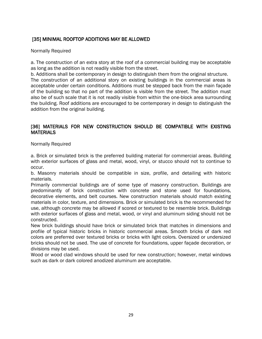# [35] MINIMAL ROOFTOP ADDITIONS MAY BE ALLOWED

#### Normally Required

a. The construction of an extra story at the roof of a commercial building may be acceptable as long as the addition is not readily visible from the street.

b. Additions shall be contemporary in design to distinguish them from the original structure. The construction of an additional story on existing buildings in the commercial areas is acceptable under certain conditions. Additions must be stepped back from the main façade of the building so that no part of the addition is visible from the street. The addition must also be of such scale that it is not readily visible from within the one-block area surrounding the building. Roof additions are encouraged to be contemporary in design to distinguish the addition from the original building.

## [36] MATERIALS FOR NEW CONSTRUCTION SHOULD BE COMPATIBLE WITH EXISTING MATERIALS

Normally Required

a. Brick or simulated brick is the preferred building material for commercial areas. Building with exterior surfaces of glass and metal, wood, vinyl, or stucco should not to continue to occur.

b. Masonry materials should be compatible in size, profile, and detailing with historic materials.

Primarily commercial buildings are of some type of masonry construction. Buildings are predominantly of brick construction with concrete and stone used for foundations, decorative elements, and belt courses. New construction materials should match existing materials in color, texture, and dimensions. Brick or simulated brick is the recommended for use, although concrete may be allowed if scored or textured to be resemble brick. Buildings with exterior surfaces of glass and metal, wood, or vinyl and aluminum siding should not be constructed.

New brick buildings should have brick or simulated brick that matches in dimensions and profile of typical historic bricks in historic commercial areas. Smooth bricks of dark red colors are preferred over textured bricks or bricks with light colors. Oversized or undersized bricks should not be used. The use of concrete for foundations, upper façade decoration, or divisions may be used.

Wood or wood clad windows should be used for new construction; however, metal windows such as dark or dark colored anodized aluminum are acceptable.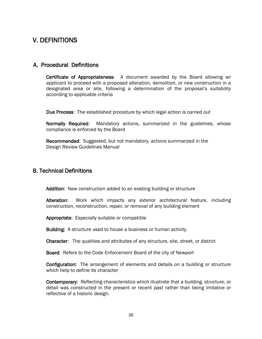# V. DEFINITIONS

# A. Procedural Definitions

Certificate of Appropriateness: A document awarded by the Board allowing an applicant to proceed with a proposed alteration, demolition, or new construction in a designated area or site, following a determination of the proposal's suitability according to applicable criteria

Due Process: The established procedure by which legal action is carried out

Normally Required: Mandatory actions, summarized in the guidelines, whose compliance is enforced by the Board

Recommended: Suggested, but not mandatory, actions summarized in the Design Review Guidelines Manual

# B. Technical Definitions

Addition: New construction added to an existing building or structure

Alteration: Work which impacts any exterior architectural feature, including construction, reconstruction, repair, or removal of any building element

Appropriate: Especially suitable or compatible

Building: A structure used to house a business or human activity.

Character: The qualities and attributes of any structure, site, street, or district

Board: Refers to the Code Enforcement Board of the city of Newport

Configuration: The arrangement of elements and details on a building or structure which help to define its character

Contemporary: Reflecting characteristics which illustrate that a building, structure, or detail was constructed in the present or recent past rather than being imitative or reflective of a historic design.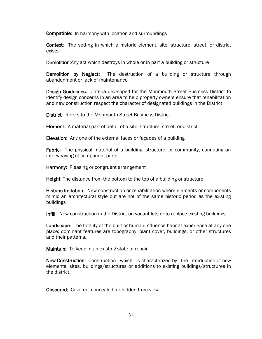Compatible: In harmony with location and surroundings

Context: The setting in which a historic element, site, structure, street, or district exists

Demolition:Any act which destroys in whole or in part a building or structure

Demolition by Neglect: The destruction of a building or structure through abandonment or lack of maintenance

Design Guidelines: Criteria developed for the Monmouth Street Business District to identify design concerns in an area to help property owners ensure that rehabilitation and new construction respect the character of designated buildings in the District

District: Refers to the Monmouth Street Business District

Element: A material part of detail of a site, structure, street, or district

Elevation: Any one of the external faces or façades of a building

**Fabric:** The physical material of a building, structure, or community, connoting an interweaving of component parts

Harmony: Pleasing or congruent arrangement

**Height:** The distance from the bottom to the top of a building or structure

Historic Imitation: New construction or rehabilitation where elements or components mimic an architectural style but are not of the same historic period as the existing buildings

Infill: New construction in the District on vacant lots or to replace existing buildings

Landscape: The totality of the built or human-influence habitat experience at any one place; dominant features are topography, plant cover, buildings, or other structures and their patterns.

Maintain: To keep in an existing state of repair

New Construction: Construction which is characterized by the introduction of new elements, sites, buildings/structures or additions to existing buildings/structures in the district.

Obscured: Covered, concealed, or hidden from view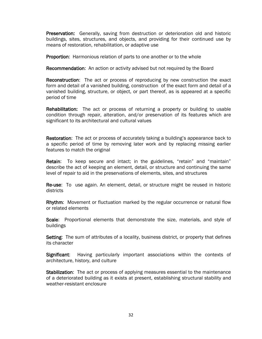Preservation: Generally, saving from destruction or deterioration old and historic buildings, sites, structures, and objects, and providing for their continued use by means of restoration, rehabilitation, or adaptive use

Proportion: Harmonious relation of parts to one another or to the whole

Recommendation: An action or activity advised but not required by the Board

Reconstruction: The act or process of reproducing by new construction the exact form and detail of a vanished building, construction of the exact form and detail of a vanished building, structure, or object, or part thereof, as is appeared at a specific period of time

Rehabilitation: The act or process of returning a property or building to usable condition through repair, alteration, and/or preservation of its features which are significant to its architectural and cultural values

Restoration: The act or process of accurately taking a building's appearance back to a specific period of time by removing later work and by replacing missing earlier features to match the original

Retain: To keep secure and intact; in the guidelines, "retain" and "maintain" describe the act of keeping an element, detail, or structure and continuing the same level of repair to aid in the preservations of elements, sites, and structures

Re-use: To use again. An element, detail, or structure might be reused in historic districts

Rhythm: Movement or fluctuation marked by the regular occurrence or natural flow or related elements

Scale: Proportional elements that demonstrate the size, materials, and style of buildings

Setting: The sum of attributes of a locality, business district, or property that defines its character

Significant: Having particularly important associations within the contexts of architecture, history, and culture

Stabilization: The act or process of applying measures essential to the maintenance of a deteriorated building as it exists at present, establishing structural stability and weather-resistant enclosure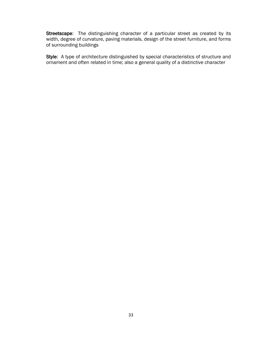Streetscape: The distinguishing character of a particular street as created by its width, degree of curvature, paving materials, design of the street furniture, and forms of surrounding buildings

Style: A type of architecture distinguished by special characteristics of structure and ornament and often related in time; also a general quality of a distinctive character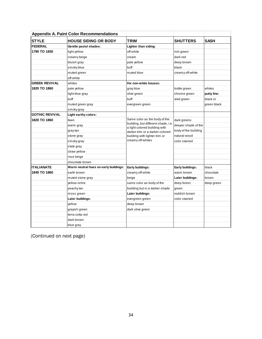| <b>Appendix A. Paint Color Recommendations</b> |                                       |                                                                      |                      |             |
|------------------------------------------------|---------------------------------------|----------------------------------------------------------------------|----------------------|-------------|
| <b>STYLE</b>                                   | <b>HOUSE SIDING OR BODY</b>           | <b>TRIM</b>                                                          | <b>SHUTTERS</b>      | <b>SASH</b> |
| <b>FEDERAL</b>                                 | Gentile pastel shades:                | Lighter than siding:                                                 |                      |             |
| 1790 TO 1830                                   | light yellow                          | off-white                                                            | rich green           |             |
|                                                | creamy beige                          | cream                                                                | dark red             |             |
|                                                | bluish gray                           | pale yellow                                                          | deep brown           |             |
|                                                | smoky blue                            | buff                                                                 | black                |             |
|                                                | muted green                           | muted blue                                                           | creamy off-white     |             |
|                                                | off-white                             |                                                                      |                      |             |
| <b>GREEK REVIVAL</b>                           | whites                                | For non-white houses:                                                |                      |             |
| 1820 TO 1860                                   | pale yellow                           | gray blue                                                            | bottle green         | whites      |
|                                                | light blue gray                       | olive green                                                          | chrome green         | putty line: |
|                                                | buff                                  | buff                                                                 | vivid green          | black or    |
|                                                | muted green gray                      | evergreen green                                                      |                      | green black |
|                                                | smoky gray                            |                                                                      |                      |             |
| <b>GOTHIC REVIVAL</b>                          | Light earthy colors:                  |                                                                      |                      |             |
| 1820 TO 1860                                   | fawn                                  | Same color as the body of the                                        | dark greens          |             |
|                                                | warm gray                             | building, but different shade, i.e.<br>a light colored building with | deeper shade of the  |             |
|                                                | gray tan                              | darker trim or a darker-colored                                      | body of the building |             |
|                                                | stone gray                            | building with lighter trim or                                        | natural wood         |             |
|                                                | smoky gray                            | creamy off-whites                                                    | color stained        |             |
|                                                | slate gray                            |                                                                      |                      |             |
|                                                | straw yellow                          |                                                                      |                      |             |
|                                                | rose beige                            |                                                                      |                      |             |
|                                                | chocolate brown                       |                                                                      |                      |             |
| <b>ITALIANATE</b>                              | Warm neutral hues on early buildings: | Early buildings:                                                     | Early buildings:     | black       |
| 1845 TO 1860                                   | earth brown                           | creamy off-white                                                     | warm brown           | chocolate   |
|                                                | muted stone gray                      | beige                                                                | Later buildings:     | brown       |
|                                                | yellow ochre                          | same color as body of the                                            | deep forest          | deep green  |
|                                                | peachy tan                            | building but in a darker shade                                       | green                |             |
|                                                | moss green                            | Later buildings:                                                     | reddish brown        |             |
|                                                | Later buildings:                      | evergreen green                                                      | color stained        |             |
|                                                | yellow                                | deep brown                                                           |                      |             |
|                                                | grayish green                         | dark olive green                                                     |                      |             |
|                                                | terra-cotta red                       |                                                                      |                      |             |
|                                                | dark brown                            |                                                                      |                      |             |
|                                                | blue gray                             |                                                                      |                      |             |

(Continued on next page)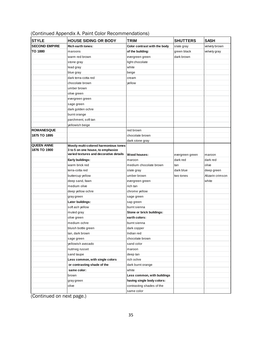| <b>STYLE</b>                      | <b>HOUSE SIDING OR BODY</b>                                                | <b>TRIM</b>                  | <b>SHUTTERS</b> | <b>SASH</b>      |
|-----------------------------------|----------------------------------------------------------------------------|------------------------------|-----------------|------------------|
| <b>SECOND EMPIRE</b>              | <b>Rich earth tones:</b>                                                   | Color contrast with the body | slate gray      | velvety brown    |
| <b>TO 1880</b>                    | maroons                                                                    | of the building:             | green black     | velvety gray     |
|                                   | warm red brown                                                             | evergreen green              | dark brown      |                  |
|                                   | stone gray                                                                 | light chocolate              |                 |                  |
|                                   | lead gray                                                                  | white                        |                 |                  |
|                                   | blue gray                                                                  | beige                        |                 |                  |
|                                   | dark terra-cotta red                                                       | cream                        |                 |                  |
|                                   | chocolate brown                                                            | vellow                       |                 |                  |
|                                   | umber brown                                                                |                              |                 |                  |
|                                   | olive green                                                                |                              |                 |                  |
|                                   | evergreen green                                                            |                              |                 |                  |
|                                   | sage green                                                                 |                              |                 |                  |
|                                   | dark golden ochre                                                          |                              |                 |                  |
|                                   | burnt orange                                                               |                              |                 |                  |
|                                   | parchment, soft tan                                                        |                              |                 |                  |
|                                   | yellowish beige                                                            |                              |                 |                  |
| <b>ROMANESQUE</b>                 |                                                                            | red brown                    |                 |                  |
| 1875 TO 1895                      |                                                                            | chocolate brown              |                 |                  |
|                                   |                                                                            | dark stone gray              |                 |                  |
| <b>QUEEN ANNE</b><br>1876 TO 1900 | Mostly multi-colored harmonious tones<br>3 to 5 on one house, to emphasize |                              |                 |                  |
|                                   | varied textures and decorative details                                     | Wood houses:                 | evergreen green | maroon           |
|                                   | Early buildings:                                                           | maroon                       | dark red        | dark red         |
|                                   | warm brick red                                                             | medium chocolate brown       | tan             | olive            |
|                                   | terra-cotta red                                                            | slate gray                   | dark blue       | deep green       |
|                                   | buttercup yellow                                                           | umber brown                  | two tones       | Alizarin crimson |
|                                   | deep sand, fawn                                                            | evergreen green              |                 | white            |
|                                   | medium olive                                                               | rich tan                     |                 |                  |
|                                   | deep yellow ochre                                                          | chrome yellow                |                 |                  |
|                                   | gray green                                                                 | sage green                   |                 |                  |
|                                   | Later buildings:                                                           | sap green                    |                 |                  |
|                                   | soft ash yellow                                                            | burnt sienna                 |                 |                  |
|                                   | muted gray                                                                 | Stone or brick buildings:    |                 |                  |
|                                   | olive green                                                                | earth colors:                |                 |                  |
|                                   | medium ochre                                                               | burnt sienna                 |                 |                  |
|                                   | bluish bottle green                                                        | dark copper                  |                 |                  |
|                                   | tan, dark brown                                                            | Indian red                   |                 |                  |
|                                   | sage green                                                                 | chocolate brown              |                 |                  |
|                                   | yellowish avocado                                                          | sand color                   |                 |                  |
|                                   | nutmeg russet                                                              | maroon                       |                 |                  |
|                                   | sand taupe                                                                 | deep tan                     |                 |                  |
|                                   | Less common, with single colors                                            | rich ochre                   |                 |                  |
|                                   | or contrasting shade of the                                                | dark burnt orange            |                 |                  |
|                                   | same color:                                                                | white                        |                 |                  |
|                                   | brown                                                                      | Less common, with buildings  |                 |                  |
|                                   | gray green                                                                 | having single body colors:   |                 |                  |
|                                   | olive                                                                      | contrasting shades of the    |                 |                  |
|                                   |                                                                            | same color                   |                 |                  |
|                                   |                                                                            |                              |                 |                  |

# (Continued Appendix A. Paint Color Recommendations)

(Continued on next page.)